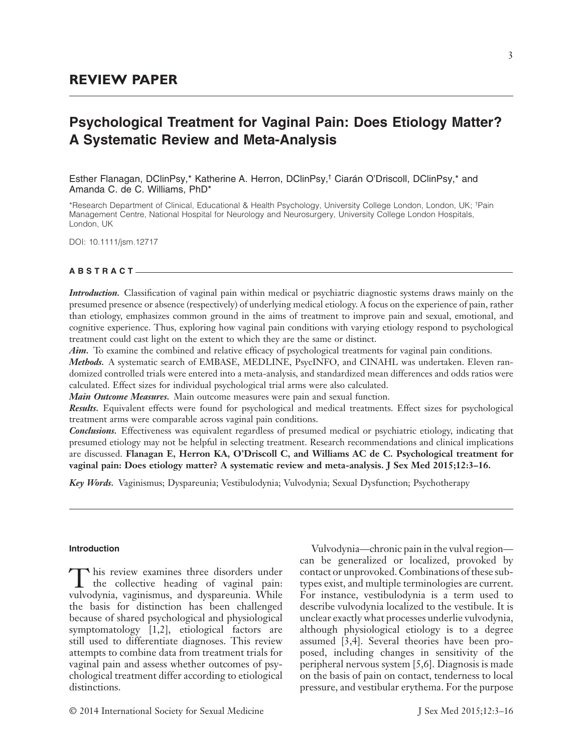# **Psychological Treatment for Vaginal Pain: Does Etiology Matter? A Systematic Review and Meta-Analysis**

Esther Flanagan, DClinPsy,\* Katherine A. Herron, DClinPsy,† Ciarán O'Driscoll, DClinPsy,\* and Amanda C. de C. Williams, PhD\*

\*Research Department of Clinical, Educational & Health Psychology, University College London, London, UK; † Pain Management Centre, National Hospital for Neurology and Neurosurgery, University College London Hospitals, London, UK

DOI: 10.1111/jsm.12717

## **ABSTRACT**

*Introduction.* Classification of vaginal pain within medical or psychiatric diagnostic systems draws mainly on the presumed presence or absence (respectively) of underlying medical etiology. A focus on the experience of pain, rather than etiology, emphasizes common ground in the aims of treatment to improve pain and sexual, emotional, and cognitive experience. Thus, exploring how vaginal pain conditions with varying etiology respond to psychological treatment could cast light on the extent to which they are the same or distinct.

*Aim.* To examine the combined and relative efficacy of psychological treatments for vaginal pain conditions.

*Methods.* A systematic search of EMBASE, MEDLINE, PsycINFO, and CINAHL was undertaken. Eleven randomized controlled trials were entered into a meta-analysis, and standardized mean differences and odds ratios were calculated. Effect sizes for individual psychological trial arms were also calculated.

*Main Outcome Measures.* Main outcome measures were pain and sexual function.

*Results.* Equivalent effects were found for psychological and medical treatments. Effect sizes for psychological treatment arms were comparable across vaginal pain conditions.

*Conclusions.* Effectiveness was equivalent regardless of presumed medical or psychiatric etiology, indicating that presumed etiology may not be helpful in selecting treatment. Research recommendations and clinical implications are discussed. **Flanagan E, Herron KA, O'Driscoll C, and Williams AC de C. Psychological treatment for vaginal pain: Does etiology matter? A systematic review and meta-analysis. J Sex Med 2015;12:3–16.**

*Key Words.* Vaginismus; Dyspareunia; Vestibulodynia; Vulvodynia; Sexual Dysfunction; Psychotherapy

## **Introduction**

This review examines three disorders under<br>the collective heading of vaginal pain:<br>the contribution of the contribution of the collective vulvodynia, vaginismus, and dyspareunia. While the basis for distinction has been challenged because of shared psychological and physiological symptomatology [1,2], etiological factors are still used to differentiate diagnoses. This review attempts to combine data from treatment trials for vaginal pain and assess whether outcomes of psychological treatment differ according to etiological distinctions.

Vulvodynia—chronic pain in the vulval region can be generalized or localized, provoked by contact or unprovoked. Combinations of these subtypes exist, and multiple terminologies are current. For instance, vestibulodynia is a term used to describe vulvodynia localized to the vestibule. It is unclear exactly what processes underlie vulvodynia, although physiological etiology is to a degree assumed [3,4]. Several theories have been proposed, including changes in sensitivity of the peripheral nervous system [5,6]. Diagnosis is made on the basis of pain on contact, tenderness to local pressure, and vestibular erythema. For the purpose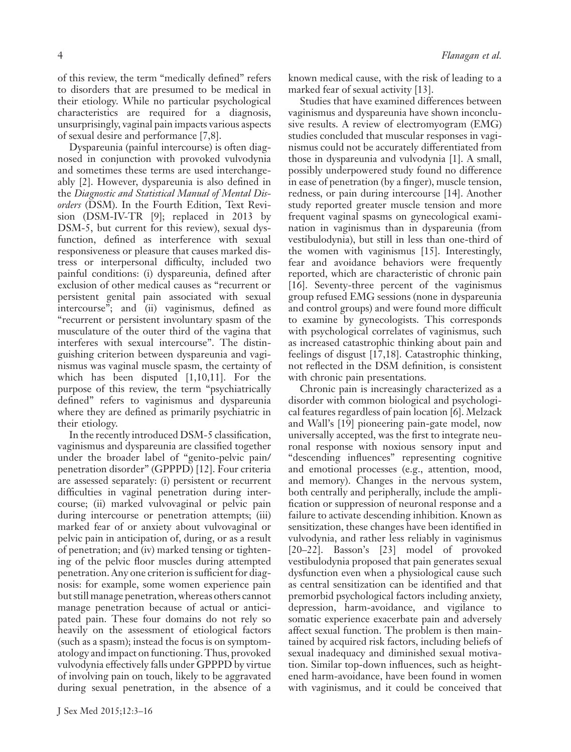of this review, the term "medically defined" refers to disorders that are presumed to be medical in their etiology. While no particular psychological characteristics are required for a diagnosis, unsurprisingly, vaginal pain impacts various aspects of sexual desire and performance [7,8].

Dyspareunia (painful intercourse) is often diagnosed in conjunction with provoked vulvodynia and sometimes these terms are used interchangeably [2]. However, dyspareunia is also defined in the *Diagnostic and Statistical Manual of Mental Disorders* (DSM). In the Fourth Edition, Text Revision (DSM-IV-TR [9]; replaced in 2013 by DSM-5, but current for this review), sexual dysfunction, defined as interference with sexual responsiveness or pleasure that causes marked distress or interpersonal difficulty, included two painful conditions: (i) dyspareunia, defined after exclusion of other medical causes as "recurrent or persistent genital pain associated with sexual intercourse"; and (ii) vaginismus, defined as "recurrent or persistent involuntary spasm of the musculature of the outer third of the vagina that interferes with sexual intercourse". The distinguishing criterion between dyspareunia and vaginismus was vaginal muscle spasm, the certainty of which has been disputed [1,10,11]. For the purpose of this review, the term "psychiatrically defined" refers to vaginismus and dyspareunia where they are defined as primarily psychiatric in their etiology.

In the recently introduced DSM-5 classification, vaginismus and dyspareunia are classified together under the broader label of "genito-pelvic pain/ penetration disorder" (GPPPD) [12]. Four criteria are assessed separately: (i) persistent or recurrent difficulties in vaginal penetration during intercourse; (ii) marked vulvovaginal or pelvic pain during intercourse or penetration attempts; (iii) marked fear of or anxiety about vulvovaginal or pelvic pain in anticipation of, during, or as a result of penetration; and (iv) marked tensing or tightening of the pelvic floor muscles during attempted penetration. Any one criterion is sufficient for diagnosis: for example, some women experience pain but still manage penetration, whereas others cannot manage penetration because of actual or anticipated pain. These four domains do not rely so heavily on the assessment of etiological factors (such as a spasm); instead the focus is on symptomatology and impact on functioning. Thus, provoked vulvodynia effectively falls under GPPPD by virtue of involving pain on touch, likely to be aggravated during sexual penetration, in the absence of a

known medical cause, with the risk of leading to a marked fear of sexual activity [13].

Studies that have examined differences between vaginismus and dyspareunia have shown inconclusive results. A review of electromyogram (EMG) studies concluded that muscular responses in vaginismus could not be accurately differentiated from those in dyspareunia and vulvodynia [1]. A small, possibly underpowered study found no difference in ease of penetration (by a finger), muscle tension, redness, or pain during intercourse [14]. Another study reported greater muscle tension and more frequent vaginal spasms on gynecological examination in vaginismus than in dyspareunia (from vestibulodynia), but still in less than one-third of the women with vaginismus [15]. Interestingly, fear and avoidance behaviors were frequently reported, which are characteristic of chronic pain [16]. Seventy-three percent of the vaginismus group refused EMG sessions (none in dyspareunia and control groups) and were found more difficult to examine by gynecologists. This corresponds with psychological correlates of vaginismus, such as increased catastrophic thinking about pain and feelings of disgust [17,18]. Catastrophic thinking, not reflected in the DSM definition, is consistent with chronic pain presentations.

Chronic pain is increasingly characterized as a disorder with common biological and psychological features regardless of pain location [6]. Melzack and Wall's [19] pioneering pain-gate model, now universally accepted, was the first to integrate neuronal response with noxious sensory input and "descending influences" representing cognitive and emotional processes (e.g., attention, mood, and memory). Changes in the nervous system, both centrally and peripherally, include the amplification or suppression of neuronal response and a failure to activate descending inhibition. Known as sensitization, these changes have been identified in vulvodynia, and rather less reliably in vaginismus [20–22]. Basson's [23] model of provoked vestibulodynia proposed that pain generates sexual dysfunction even when a physiological cause such as central sensitization can be identified and that premorbid psychological factors including anxiety, depression, harm-avoidance, and vigilance to somatic experience exacerbate pain and adversely affect sexual function. The problem is then maintained by acquired risk factors, including beliefs of sexual inadequacy and diminished sexual motivation. Similar top-down influences, such as heightened harm-avoidance, have been found in women with vaginismus, and it could be conceived that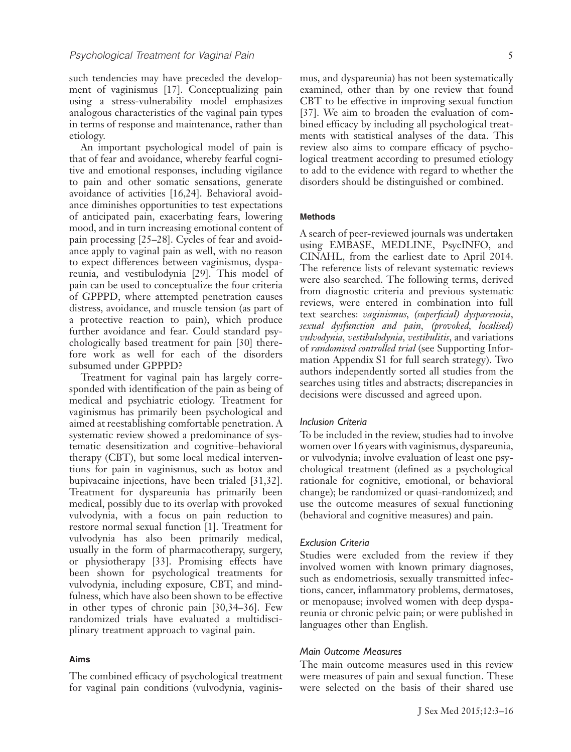such tendencies may have preceded the development of vaginismus [17]. Conceptualizing pain using a stress-vulnerability model emphasizes analogous characteristics of the vaginal pain types in terms of response and maintenance, rather than etiology.

An important psychological model of pain is that of fear and avoidance, whereby fearful cognitive and emotional responses, including vigilance to pain and other somatic sensations, generate avoidance of activities [16,24]. Behavioral avoidance diminishes opportunities to test expectations of anticipated pain, exacerbating fears, lowering mood, and in turn increasing emotional content of pain processing [25–28]. Cycles of fear and avoidance apply to vaginal pain as well, with no reason to expect differences between vaginismus, dyspareunia, and vestibulodynia [29]. This model of pain can be used to conceptualize the four criteria of GPPPD, where attempted penetration causes distress, avoidance, and muscle tension (as part of a protective reaction to pain), which produce further avoidance and fear. Could standard psychologically based treatment for pain [30] therefore work as well for each of the disorders subsumed under GPPPD?

Treatment for vaginal pain has largely corresponded with identification of the pain as being of medical and psychiatric etiology. Treatment for vaginismus has primarily been psychological and aimed at reestablishing comfortable penetration. A systematic review showed a predominance of systematic desensitization and cognitive–behavioral therapy (CBT), but some local medical interventions for pain in vaginismus, such as botox and bupivacaine injections, have been trialed [31,32]. Treatment for dyspareunia has primarily been medical, possibly due to its overlap with provoked vulvodynia, with a focus on pain reduction to restore normal sexual function [1]. Treatment for vulvodynia has also been primarily medical, usually in the form of pharmacotherapy, surgery, or physiotherapy [33]. Promising effects have been shown for psychological treatments for vulvodynia, including exposure, CBT, and mindfulness, which have also been shown to be effective in other types of chronic pain [30,34–36]. Few randomized trials have evaluated a multidisciplinary treatment approach to vaginal pain.

# **Aims**

The combined efficacy of psychological treatment for vaginal pain conditions (vulvodynia, vaginismus, and dyspareunia) has not been systematically examined, other than by one review that found CBT to be effective in improving sexual function [37]. We aim to broaden the evaluation of combined efficacy by including all psychological treatments with statistical analyses of the data. This review also aims to compare efficacy of psychological treatment according to presumed etiology to add to the evidence with regard to whether the disorders should be distinguished or combined.

## **Methods**

A search of peer-reviewed journals was undertaken using EMBASE, MEDLINE, PsycINFO, and CINAHL, from the earliest date to April 2014. The reference lists of relevant systematic reviews were also searched. The following terms, derived from diagnostic criteria and previous systematic reviews, were entered in combination into full text searches: *vaginismus, (superficial) dyspareunia*, *sexual dysfunction and pain, (provoked, localised) vulvodynia, vestibulodynia, vestibulitis*, and variations of *randomised controlled trial* (see Supporting Information Appendix S1 for full search strategy). Two authors independently sorted all studies from the searches using titles and abstracts; discrepancies in decisions were discussed and agreed upon.

## *Inclusion Criteria*

To be included in the review, studies had to involve women over 16 years with vaginismus, dyspareunia, or vulvodynia; involve evaluation of least one psychological treatment (defined as a psychological rationale for cognitive, emotional, or behavioral change); be randomized or quasi-randomized; and use the outcome measures of sexual functioning (behavioral and cognitive measures) and pain.

## *Exclusion Criteria*

Studies were excluded from the review if they involved women with known primary diagnoses, such as endometriosis, sexually transmitted infections, cancer, inflammatory problems, dermatoses, or menopause; involved women with deep dyspareunia or chronic pelvic pain; or were published in languages other than English.

# *Main Outcome Measures*

The main outcome measures used in this review were measures of pain and sexual function. These were selected on the basis of their shared use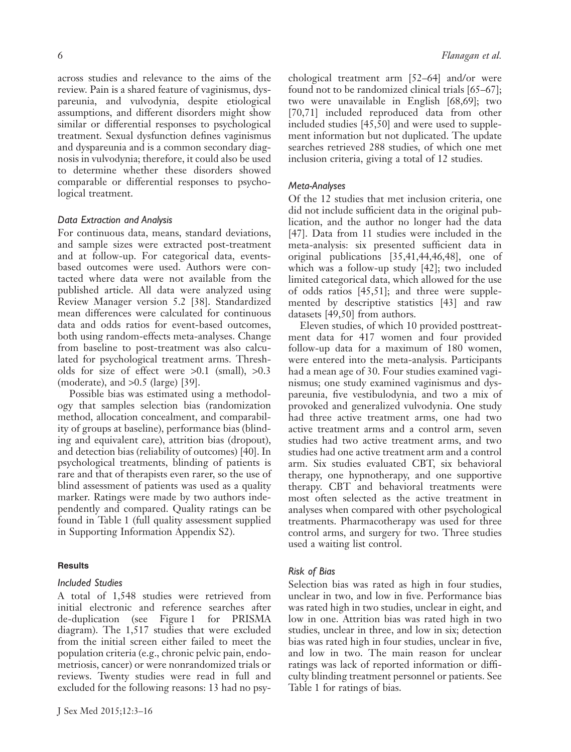across studies and relevance to the aims of the review. Pain is a shared feature of vaginismus, dyspareunia, and vulvodynia, despite etiological assumptions, and different disorders might show similar or differential responses to psychological treatment. Sexual dysfunction defines vaginismus and dyspareunia and is a common secondary diagnosis in vulvodynia; therefore, it could also be used to determine whether these disorders showed comparable or differential responses to psychological treatment.

#### *Data Extraction and Analysis*

For continuous data, means, standard deviations, and sample sizes were extracted post-treatment and at follow-up. For categorical data, eventsbased outcomes were used. Authors were contacted where data were not available from the published article. All data were analyzed using Review Manager version 5.2 [38]. Standardized mean differences were calculated for continuous data and odds ratios for event-based outcomes, both using random-effects meta-analyses. Change from baseline to post-treatment was also calculated for psychological treatment arms. Thresholds for size of effect were >0.1 (small), >0.3 (moderate), and >0.5 (large) [39].

Possible bias was estimated using a methodology that samples selection bias (randomization method, allocation concealment, and comparability of groups at baseline), performance bias (blinding and equivalent care), attrition bias (dropout), and detection bias (reliability of outcomes) [40]. In psychological treatments, blinding of patients is rare and that of therapists even rarer, so the use of blind assessment of patients was used as a quality marker. Ratings were made by two authors independently and compared. Quality ratings can be found in Table 1 (full quality assessment supplied in Supporting Information Appendix S2).

#### **Results**

## *Included Studies*

A total of 1,548 studies were retrieved from initial electronic and reference searches after de-duplication (see Figure 1 for PRISMA diagram). The 1,517 studies that were excluded from the initial screen either failed to meet the population criteria (e.g., chronic pelvic pain, endometriosis, cancer) or were nonrandomized trials or reviews. Twenty studies were read in full and excluded for the following reasons: 13 had no psychological treatment arm [52–64] and/or were found not to be randomized clinical trials [65–67]; two were unavailable in English [68,69]; two [70,71] included reproduced data from other included studies [45,50] and were used to supplement information but not duplicated. The update searches retrieved 288 studies, of which one met inclusion criteria, giving a total of 12 studies.

## *Meta-Analyses*

Of the 12 studies that met inclusion criteria, one did not include sufficient data in the original publication, and the author no longer had the data [47]. Data from 11 studies were included in the meta-analysis: six presented sufficient data in original publications [35,41,44,46,48], one of which was a follow-up study [42]; two included limited categorical data, which allowed for the use of odds ratios [45,51]; and three were supplemented by descriptive statistics [43] and raw datasets [49,50] from authors.

Eleven studies, of which 10 provided posttreatment data for 417 women and four provided follow-up data for a maximum of 180 women, were entered into the meta-analysis. Participants had a mean age of 30. Four studies examined vaginismus; one study examined vaginismus and dyspareunia, five vestibulodynia, and two a mix of provoked and generalized vulvodynia. One study had three active treatment arms, one had two active treatment arms and a control arm, seven studies had two active treatment arms, and two studies had one active treatment arm and a control arm. Six studies evaluated CBT, six behavioral therapy, one hypnotherapy, and one supportive therapy. CBT and behavioral treatments were most often selected as the active treatment in analyses when compared with other psychological treatments. Pharmacotherapy was used for three control arms, and surgery for two. Three studies used a waiting list control.

## *Risk of Bias*

Selection bias was rated as high in four studies, unclear in two, and low in five. Performance bias was rated high in two studies, unclear in eight, and low in one. Attrition bias was rated high in two studies, unclear in three, and low in six; detection bias was rated high in four studies, unclear in five, and low in two. The main reason for unclear ratings was lack of reported information or difficulty blinding treatment personnel or patients. See Table 1 for ratings of bias.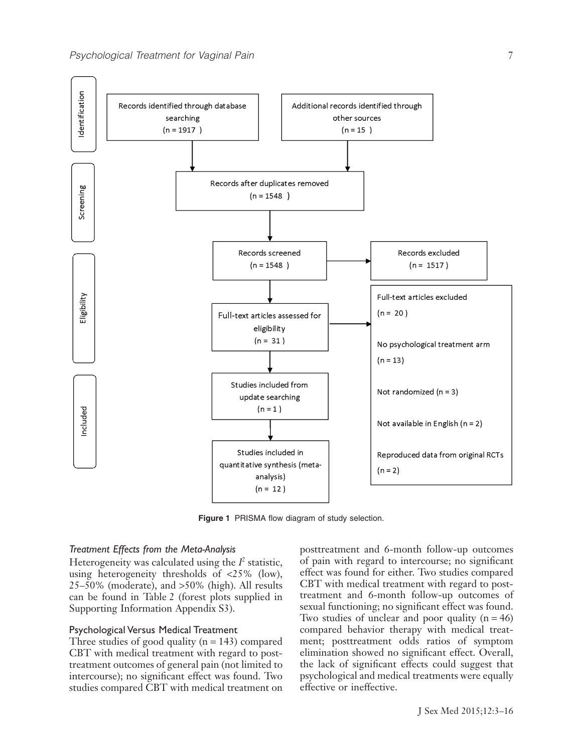

**Figure 1** PRISMA flow diagram of study selection.

# *Treatment Effects from the Meta-Analysis*

Heterogeneity was calculated using the  $I^2$  statistic, using heterogeneity thresholds of <25% (low), 25–50% (moderate), and >50% (high). All results can be found in Table 2 (forest plots supplied in Supporting Information Appendix S3).

## Psychological Versus Medical Treatment

Three studies of good quality  $(n = 143)$  compared CBT with medical treatment with regard to posttreatment outcomes of general pain (not limited to intercourse); no significant effect was found. Two studies compared CBT with medical treatment on posttreatment and 6-month follow-up outcomes of pain with regard to intercourse; no significant effect was found for either. Two studies compared CBT with medical treatment with regard to posttreatment and 6-month follow-up outcomes of sexual functioning; no significant effect was found. Two studies of unclear and poor quality  $(n = 46)$ compared behavior therapy with medical treatment; posttreatment odds ratios of symptom elimination showed no significant effect. Overall, the lack of significant effects could suggest that psychological and medical treatments were equally effective or ineffective.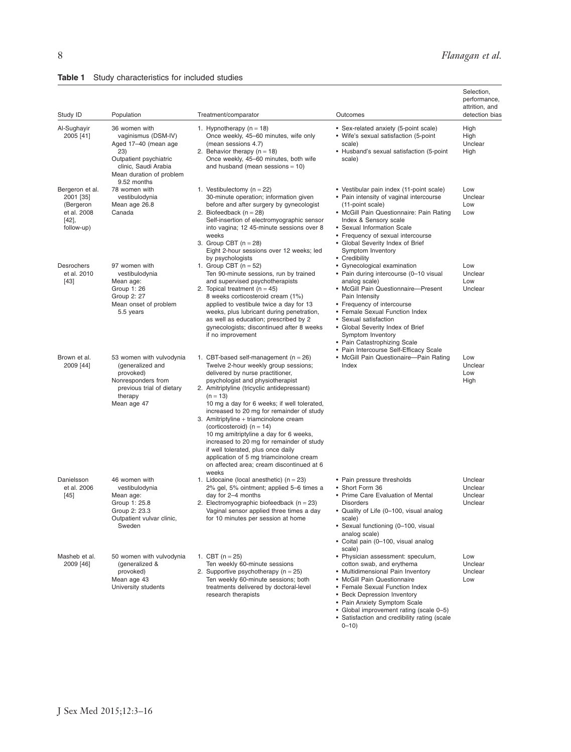| Study ID                                                                       | Population                                                                                                                                                       | Treatment/comparator                                                                                                                                                                                                                                                                                                                                                                                                                                                                                                                                                                                                    | Outcomes                                                                                                                                                                                                                                                                                                                                                                    | Selection,<br>performance,<br>attrition, and<br>detection bias |
|--------------------------------------------------------------------------------|------------------------------------------------------------------------------------------------------------------------------------------------------------------|-------------------------------------------------------------------------------------------------------------------------------------------------------------------------------------------------------------------------------------------------------------------------------------------------------------------------------------------------------------------------------------------------------------------------------------------------------------------------------------------------------------------------------------------------------------------------------------------------------------------------|-----------------------------------------------------------------------------------------------------------------------------------------------------------------------------------------------------------------------------------------------------------------------------------------------------------------------------------------------------------------------------|----------------------------------------------------------------|
| Al-Sughayir<br>2005 [41]                                                       | 36 women with<br>vaginismus (DSM-IV)<br>Aged 17-40 (mean age<br>23)<br>Outpatient psychiatric<br>clinic, Saudi Arabia<br>Mean duration of problem<br>9.52 months | 1. Hypnotherapy $(n = 18)$<br>Once weekly, 45-60 minutes, wife only<br>(mean sessions 4.7)<br>2. Behavior therapy $(n = 18)$<br>Once weekly, 45-60 minutes, both wife<br>and husband (mean sessions $= 10$ )                                                                                                                                                                                                                                                                                                                                                                                                            | • Sex-related anxiety (5-point scale)<br>• Wife's sexual satisfaction (5-point<br>scale)<br>• Husband's sexual satisfaction (5-point<br>scale)                                                                                                                                                                                                                              | High<br>High<br>Unclear<br>High                                |
| Bergeron et al.<br>2001 [35]<br>(Bergeron<br>et al. 2008<br>[42]<br>follow-up) | 78 women with<br>vestibulodynia<br>Mean age 26.8<br>Canada                                                                                                       | 1. Vestibulectomy ( $n = 22$ )<br>30-minute operation; information given<br>before and after surgery by gynecologist<br>2. Biofeedback $(n = 28)$<br>Self-insertion of electromyographic sensor<br>into vagina; 12 45-minute sessions over 8<br>weeks<br>3. Group CBT $(n = 28)$<br>Eight 2-hour sessions over 12 weeks; led<br>by psychologists                                                                                                                                                                                                                                                                        | • Vestibular pain index (11-point scale)<br>• Pain intensity of vaginal intercourse<br>(11-point scale)<br>• McGill Pain Questionnaire: Pain Rating<br>Index & Sensory scale<br>• Sexual Information Scale<br>• Frequency of sexual intercourse<br>• Global Severity Index of Brief<br>Symptom Inventory<br>• Credibility                                                   | Low<br>Unclear<br>Low<br>Low                                   |
| <b>Desrochers</b><br>et al. 2010<br>[43]                                       | 97 women with<br>vestibulodynia<br>Mean age:<br>Group 1: 26<br>Group 2: 27<br>Mean onset of problem<br>5.5 years                                                 | 1. Group CBT $(n = 52)$<br>Ten 90-minute sessions, run by trained<br>and supervised psychotherapists<br>2. Topical treatment $(n = 45)$<br>8 weeks corticosteroid cream (1%)<br>applied to vestibule twice a day for 13<br>weeks, plus lubricant during penetration,<br>as well as education; prescribed by 2<br>gynecologists; discontinued after 8 weeks<br>if no improvement                                                                                                                                                                                                                                         | • Gynecological examination<br>· Pain during intercourse (0-10 visual<br>analog scale)<br>• McGill Pain Questionnaire-Present<br>Pain Intensity<br>• Frequency of intercourse<br>• Female Sexual Function Index<br>• Sexual satisfaction<br>• Global Severity Index of Brief<br>Symptom Inventory<br>• Pain Catastrophizing Scale<br>• Pain Intercourse Self-Efficacy Scale | Low<br>Unclear<br>Low<br>Unclear                               |
| Brown et al.<br>2009 [44]                                                      | 53 women with vulvodynia<br>(generalized and<br>provoked)<br>Nonresponders from<br>previous trial of dietary<br>therapy<br>Mean age 47                           | 1. CBT-based self-management $(n = 26)$<br>Twelve 2-hour weekly group sessions;<br>delivered by nurse practitioner,<br>psychologist and physiotherapist<br>2. Amitriptyline (tricyclic antidepressant)<br>$(n = 13)$<br>10 mg a day for 6 weeks; if well tolerated,<br>increased to 20 mg for remainder of study<br>3. Amitriptyline + triamcinolone cream<br>(corticosteroid) $(n = 14)$<br>10 mg amitriptyline a day for 6 weeks,<br>increased to 20 mg for remainder of study<br>if well tolerated, plus once daily<br>application of 5 mg triamcinolone cream<br>on affected area; cream discontinued at 6<br>weeks | • McGill Pain Questionaire-Pain Rating<br>Index                                                                                                                                                                                                                                                                                                                             | Low<br>Unclear<br>Low<br>High                                  |
| Danielsson<br>et al. 2006<br>$[45]$                                            | 46 women with<br>vestibulodynia<br>Mean age:<br>Group 1: 25.8<br>Group 2: 23.3<br>Outpatient vulvar clinic,<br>Sweden                                            | 1. Lidocaine (local anesthetic) $(n = 23)$<br>2% gel, 5% ointment; applied 5-6 times a<br>day for 2-4 months<br>2. Electromyographic biofeedback $(n = 23)$<br>Vaginal sensor applied three times a day<br>for 10 minutes per session at home                                                                                                                                                                                                                                                                                                                                                                           | • Pain pressure thresholds<br>• Short Form 36<br>• Prime Care Evaluation of Mental<br><b>Disorders</b><br>• Quality of Life (0-100, visual analog<br>scale)<br>• Sexual functioning (0-100, visual<br>analog scale)<br>• Coital pain (0-100, visual analog<br>scale)                                                                                                        | Unclear<br>Unclear<br>Unclear<br>Unclear                       |
| Masheb et al.<br>2009 [46]                                                     | 50 women with vulvodynia<br>(generalized &<br>provoked)<br>Mean age 43<br>University students                                                                    | 1. CBT $(n = 25)$<br>Ten weekly 60-minute sessions<br>2. Supportive psychotherapy $(n = 25)$<br>Ten weekly 60-minute sessions; both<br>treatments delivered by doctoral-level<br>research therapists                                                                                                                                                                                                                                                                                                                                                                                                                    | • Physician assessment: speculum,<br>cotton swab, and erythema<br>• Multidimensional Pain Inventory<br>• McGill Pain Questionnaire<br>• Female Sexual Function Index<br>• Beck Depression Inventory<br>• Pain Anxiety Symptom Scale<br>• Global improvement rating (scale 0-5)<br>• Satisfaction and credibility rating (scale<br>$0 - 10$                                  | Low<br>Unclear<br>Unclear<br>Low                               |

# **Table 1** Study characteristics for included studies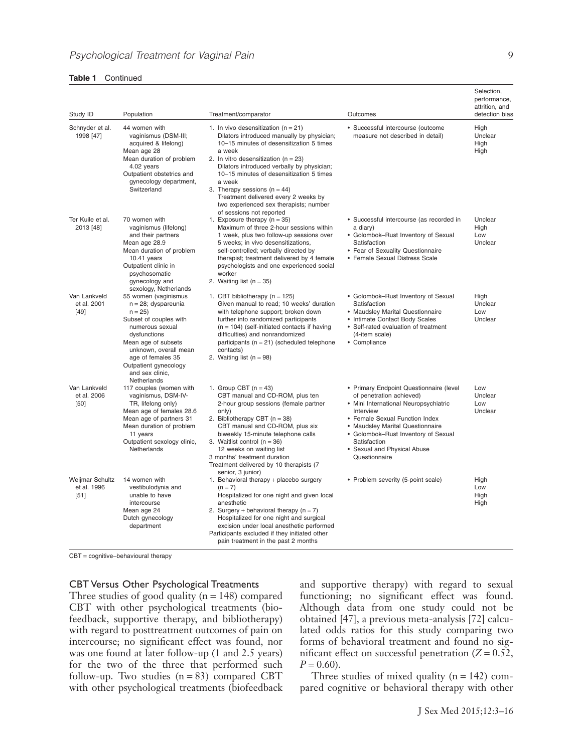#### **Table 1** Continued

| Study ID                                 | Population                                                                                                                                                                                                                                              | Treatment/comparator                                                                                                                                                                                                                                                                                                                                                                                                                        | Outcomes                                                                                                                                                                                                                                                                                               | Selection,<br>performance,<br>attrition, and<br>detection bias |
|------------------------------------------|---------------------------------------------------------------------------------------------------------------------------------------------------------------------------------------------------------------------------------------------------------|---------------------------------------------------------------------------------------------------------------------------------------------------------------------------------------------------------------------------------------------------------------------------------------------------------------------------------------------------------------------------------------------------------------------------------------------|--------------------------------------------------------------------------------------------------------------------------------------------------------------------------------------------------------------------------------------------------------------------------------------------------------|----------------------------------------------------------------|
| Schnyder et al.<br>1998 [47]             | 44 women with<br>vaginismus (DSM-III;<br>acquired & lifelong)<br>Mean age 28<br>Mean duration of problem<br>4.02 years<br>Outpatient obstetrics and<br>gynecology department,<br>Switzerland                                                            | 1. In vivo desensitization ( $n = 21$ )<br>Dilators introduced manually by physician;<br>10-15 minutes of desensitization 5 times<br>a week<br>2. In vitro desensitization ( $n = 23$ )<br>Dilators introduced verbally by physician;<br>10-15 minutes of desensitization 5 times<br>a week<br>3. Therapy sessions $(n = 44)$<br>Treatment delivered every 2 weeks by<br>two experienced sex therapists; number<br>of sessions not reported | · Successful intercourse (outcome<br>measure not described in detail)                                                                                                                                                                                                                                  | High<br>Unclear<br>High<br>High                                |
| Ter Kuile et al.<br>2013 [48]            | 70 women with<br>vaginismus (lifelong)<br>and their partners<br>Mean age 28.9<br>Mean duration of problem<br>$10.41$ years<br>Outpatient clinic in<br>psychosomatic<br>gynecology and<br>sexology, Netherlands                                          | 1. Exposure therapy $(n = 35)$<br>Maximum of three 2-hour sessions within<br>1 week, plus two follow-up sessions over<br>5 weeks; in vivo desensitizations,<br>self-controlled; verbally directed by<br>therapist; treatment delivered by 4 female<br>psychologists and one experienced social<br>worker<br>2. Waiting list ( $n = 35$ )                                                                                                    | · Successful intercourse (as recorded in<br>a diary)<br>• Golombok-Rust Inventory of Sexual<br>Satisfaction<br>• Fear of Sexuality Questionnaire<br>• Female Sexual Distress Scale                                                                                                                     | Unclear<br>High<br>Low<br>Unclear                              |
| Van Lankveld<br>et al. 2001<br>$[49]$    | 55 women (vaginismus<br>$n = 28$ ; dyspareunia<br>$n = 25$<br>Subset of couples with<br>numerous sexual<br>dysfunctions<br>Mean age of subsets<br>unknown, overall mean<br>age of females 35<br>Outpatient gynecology<br>and sex clinic.<br>Netherlands | 1. CBT bibliotherapy ( $n = 125$ )<br>Given manual to read; 10 weeks' duration<br>with telephone support; broken down<br>further into randomized participants<br>$(n = 104)$ (self-initiated contacts if having<br>difficulties) and nonrandomized<br>participants ( $n = 21$ ) (scheduled telephone<br>contacts)<br>2. Waiting list ( $n = 98$ )                                                                                           | • Golombok-Rust Inventory of Sexual<br>Satisfaction<br>• Maudsley Marital Questionnaire<br>• Intimate Contact Body Scales<br>• Self-rated evaluation of treatment<br>(4-item scale)<br>• Compliance                                                                                                    | High<br>Unclear<br>Low<br>Unclear                              |
| Van Lankveld<br>et al. 2006<br>[50]      | 117 couples (women with<br>vaginismus, DSM-IV-<br>TR, lifelong only)<br>Mean age of females 28.6<br>Mean age of partners 31<br>Mean duration of problem<br>11 years<br>Outpatient sexology clinic,<br>Netherlands                                       | 1. Group CBT $(n = 43)$<br>CBT manual and CD-ROM, plus ten<br>2-hour group sessions (female partner<br>only)<br>2. Bibliotherapy CBT ( $n = 38$ )<br>CBT manual and CD-ROM, plus six<br>biweekly 15-minute telephone calls<br>3. Waitlist control ( $n = 36$ )<br>12 weeks on waiting list<br>3 months' treatment duration<br>Treatment delivered by 10 therapists (7<br>senior, 3 junior)                                                  | • Primary Endpoint Questionnaire (level<br>of penetration achieved)<br>• Mini International Neuropsychiatric<br>Interview<br>• Female Sexual Function Index<br>• Maudsley Marital Questionnaire<br>• Golombok-Rust Inventory of Sexual<br>Satisfaction<br>• Sexual and Physical Abuse<br>Questionnaire | Low<br>Unclear<br>Low<br>Unclear                               |
| Weijmar Schultz<br>et al. 1996<br>$[51]$ | 14 women with<br>vestibulodynia and<br>unable to have<br>intercourse<br>Mean age 24<br>Dutch gynecology<br>department                                                                                                                                   | 1. Behavioral therapy + placebo surgery<br>$(n = 7)$<br>Hospitalized for one night and given local<br>anesthetic<br>2. Surgery + behavioral therapy $(n = 7)$<br>Hospitalized for one night and surgical<br>excision under local anesthetic performed<br>Participants excluded if they initiated other<br>pain treatment in the past 2 months                                                                                               | • Problem severity (5-point scale)                                                                                                                                                                                                                                                                     | High<br>Low<br>High<br>High                                    |

CBT = cognitive–behavioural therapy

# CBT Versus Other Psychological Treatments

Three studies of good quality  $(n = 148)$  compared CBT with other psychological treatments (biofeedback, supportive therapy, and bibliotherapy) with regard to posttreatment outcomes of pain on intercourse; no significant effect was found, nor was one found at later follow-up (1 and 2.5 years) for the two of the three that performed such follow-up. Two studies  $(n = 83)$  compared CBT with other psychological treatments (biofeedback and supportive therapy) with regard to sexual functioning; no significant effect was found. Although data from one study could not be obtained [47], a previous meta-analysis [72] calculated odds ratios for this study comparing two forms of behavioral treatment and found no significant effect on successful penetration  $(Z = 0.52)$ ,  $P = 0.60$ ).

Three studies of mixed quality  $(n = 142)$  compared cognitive or behavioral therapy with other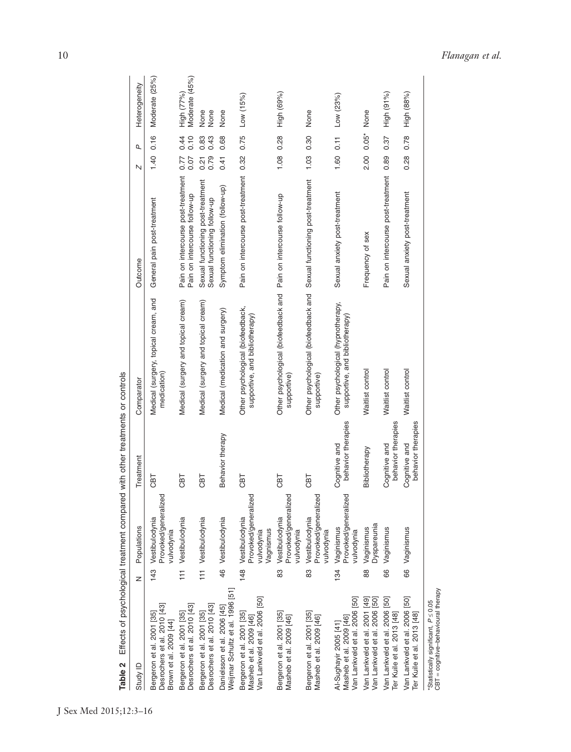| ו המקבר המאודר המקבר המקבר המקבר המקבר המקבר המקבר המקבר המקבר המקבר המקבר המקבר המקבר המקבר המקבר המקבר המקבר ה<br>andic 4 |     |                                                                           | פוסורי אינדי ביונדי באוני המסור המסור המסור המסור המסור המסור המסור המסור המסור המסור המסור המסור המסור המסור ה |                                                                                   |                                                                     |              |                              |                |
|-----------------------------------------------------------------------------------------------------------------------------|-----|---------------------------------------------------------------------------|-----------------------------------------------------------------------------------------------------------------|-----------------------------------------------------------------------------------|---------------------------------------------------------------------|--------------|------------------------------|----------------|
| Study ID                                                                                                                    | Z   | Populations                                                               | Treatment                                                                                                       | Comparator                                                                        | Outcome                                                             | σ<br>N       |                              | Heterogeneity  |
| Desrochers et al. 2010 [43]<br>Bergeron et al. 2001 [35]<br>Brown et al. 2009 [44]                                          | 143 | 90<br>Provoked/generaliz<br>Vestibulodynia<br>vulvodynia                  | СBT                                                                                                             | Medical (surgery, topical cream, and<br>medication)                               | General pain post-treatment                                         | 1.40         | 0.16                         | Moderate (25%) |
| Desrochers et al. 2010 [43]<br>Bergeron et al. 2001 [35]                                                                    |     | 111 Vestibulodynia                                                        | 780                                                                                                             | Medical (surgery and topical cream)                                               | Pain on intercourse post-treatment<br>Pain on intercourse follow-up | 0.07<br>0.77 | High (77%)<br>0.44<br>0.10   | Moderate (45%) |
| Desrochers et al. 2010 [43]<br>Bergeron et al. 2001 [35]                                                                    |     | 111 Vestibulodynia                                                        | CBT                                                                                                             | Medical (surgery and topical cream)                                               | Sexual functioning post-treatment<br>Sexual functioning follow-up   | 0.79<br>0.21 | None<br>None<br>0.83<br>0.43 |                |
| Weijmar Schultz et al. 1996 [51]<br>Danielsson et al. 2006 [45]                                                             |     | 46 Vestibulodynia                                                         | Behavior therapy                                                                                                | Medical (medication and surgery)                                                  | Symptom elimination (follow-up)                                     | 0.41         | None<br>0.68                 |                |
| Van Lankveld et al. 2006 [50]<br>Bergeron et al. 2001 [35]<br>Masheb et al. 2009 [46]                                       |     | 99<br>Provoked/generaliz<br>148 Vestibulodynia<br>Vagnismus<br>vulvodynia | CBT                                                                                                             | Other psychological (biofeedback,<br>supportive, and bibliotherapy)               | Pain on intercourse post-treatment 0.32                             |              | Low (15%)<br>0.75            |                |
| Bergeron et al. 2001 [35]<br>Masheb et al. 2009 [46]                                                                        | 83  | 9d<br>Provoked/generaliz<br>Vestibulodynia<br>vulvodynia                  | СBT                                                                                                             | Other psychological (biofeedback and Pain on intercourse follow-up<br>supportive) |                                                                     | 1.08 0.28    | High (69%)                   |                |
| Bergeron et al. 2001 [35]<br>Masheb et al. 2009 [46]                                                                        | 83  | Ъe<br>Provoked/generaliz<br>Vestibulodynia<br>vulvodynia                  | <b>TBC</b>                                                                                                      | Other psychological (biofeedback and<br>supportive)                               | Sexual functioning post-treatment                                   | 1.03         | None<br>0.30                 |                |
| Van Lankveld et al. 2006 [50]<br>Masheb et al. 2009 [46]<br>Al-Sughayir 2005 [41]                                           | 134 | Ъe<br>Provoked/generaliz<br>Vaginismus<br>vulvodynia                      | behavior therapies<br>Cognitive and                                                                             | Other psychological (hypnotherapy,<br>supportive, and bibliotherapy)              | Sexual anxiety post-treatment                                       | 1.60 0.11    | Low $(23%)$                  |                |
| Van Lankveld et al. 2001 [49]<br>Van Lankveld et al. 2006 [50]                                                              | 88  | Dyspareunia<br>Vaginismus                                                 | Bibliotherapy                                                                                                   | Waitlist control                                                                  | Frequency of sex                                                    | 2.00         | None<br>$0.05*$              |                |
| Van Lankveld et al. 2006 [50]<br>Ter Kuile et al. 2013 [48]                                                                 | 89  | Vaginismus                                                                | behavior therapies<br>Cognitive and                                                                             | Waitlist control                                                                  | Pain on intercourse post-treatment                                  | 0.89         | High (91%)<br>0.37           |                |
| Van Lankveld et al. 2006 [50]<br>Ter Kuile et al. 2013 [48]                                                                 |     | 66 Vaginismus                                                             | behavior therapies<br>Cognitive and                                                                             | Waitlist control                                                                  | Sexual anxiety post-treatment                                       | 0.28         | High (88%)<br>0.78           |                |
| CBT = cognitive-behavioural therapy<br>Statistically significant, P < 0.05                                                  |     |                                                                           |                                                                                                                 |                                                                                   |                                                                     |              |                              |                |

Table 2 Effects of psychological treatment compared with other treatments or controls **Table 2** Effects of psychological treatment compared with other treatments or controls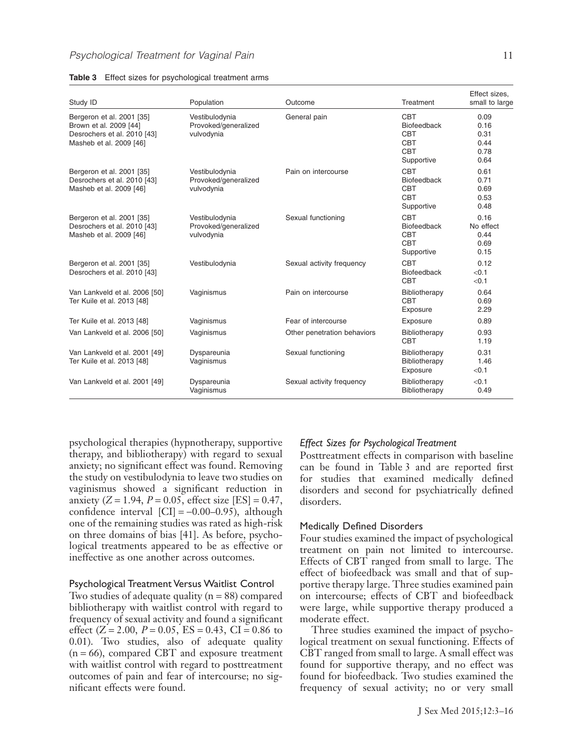| Study ID                                                                                                      | Population                                           | Outcome                     | Treatment                                                                         | Effect sizes.<br>small to large              |
|---------------------------------------------------------------------------------------------------------------|------------------------------------------------------|-----------------------------|-----------------------------------------------------------------------------------|----------------------------------------------|
| Bergeron et al. 2001 [35]<br>Brown et al. 2009 [44]<br>Desrochers et al. 2010 [43]<br>Masheb et al. 2009 [46] | Vestibulodynia<br>Provoked/generalized<br>vulvodynia | General pain                | CBT<br><b>Biofeedback</b><br><b>CBT</b><br><b>CBT</b><br><b>CBT</b><br>Supportive | 0.09<br>0.16<br>0.31<br>0.44<br>0.78<br>0.64 |
| Bergeron et al. 2001 [35]<br>Desrochers et al. 2010 [43]<br>Masheb et al. 2009 [46]                           | Vestibulodynia<br>Provoked/generalized<br>vulvodynia | Pain on intercourse         | <b>CBT</b><br><b>Biofeedback</b><br><b>CBT</b><br>CBT<br>Supportive               | 0.61<br>0.71<br>0.69<br>0.53<br>0.48         |
| Bergeron et al. 2001 [35]<br>Desrochers et al. 2010 [43]<br>Masheb et al. 2009 [46]                           | Vestibulodynia<br>Provoked/generalized<br>vulvodynia | Sexual functioning          | <b>CBT</b><br>Biofeedback<br><b>CBT</b><br><b>CBT</b><br>Supportive               | 0.16<br>No effect<br>0.44<br>0.69<br>0.15    |
| Bergeron et al. 2001 [35]<br>Desrochers et al. 2010 [43]                                                      | Vestibulodynia                                       | Sexual activity frequency   | CBT<br><b>Biofeedback</b><br><b>CBT</b>                                           | 0.12<br>< 0.1<br>< 0.1                       |
| Van Lankveld et al. 2006 [50]<br>Ter Kuile et al. 2013 [48]                                                   | Vaginismus                                           | Pain on intercourse         | Bibliotherapy<br><b>CBT</b><br>Exposure                                           | 0.64<br>0.69<br>2.29                         |
| Ter Kuile et al. 2013 [48]                                                                                    | Vaginismus                                           | Fear of intercourse         | Exposure                                                                          | 0.89                                         |
| Van Lankveld et al. 2006 [50]                                                                                 | Vaginismus                                           | Other penetration behaviors | Bibliotherapy<br><b>CBT</b>                                                       | 0.93<br>1.19                                 |
| Van Lankveld et al. 2001 [49]<br>Ter Kuile et al. 2013 [48]                                                   | Dyspareunia<br>Vaginismus                            | Sexual functioning          | Bibliotherapy<br>Bibliotherapy<br>Exposure                                        | 0.31<br>1.46<br>< 0.1                        |
| Van Lankveld et al. 2001 [49]                                                                                 | Dyspareunia<br>Vaginismus                            | Sexual activity frequency   | Bibliotherapy<br>Bibliotherapy                                                    | < 0.1<br>0.49                                |

**Table 3** Effect sizes for psychological treatment arms

psychological therapies (hypnotherapy, supportive therapy, and bibliotherapy) with regard to sexual anxiety; no significant effect was found. Removing the study on vestibulodynia to leave two studies on vaginismus showed a significant reduction in anxiety  $(Z = 1.94, P = 0.05,$  effect size  $[ES] = 0.47$ , confidence interval  $\text{[CI]} = -0.00 - 0.95$ , although one of the remaining studies was rated as high-risk on three domains of bias [41]. As before, psychological treatments appeared to be as effective or ineffective as one another across outcomes.

## Psychological Treatment Versus Waitlist Control

Two studies of adequate quality ( $n = 88$ ) compared bibliotherapy with waitlist control with regard to frequency of sexual activity and found a significant effect  $(Z = 2.00, P = 0.05, ES = 0.43, CI = 0.86$  to 0.01). Two studies, also of adequate quality  $(n = 66)$ , compared CBT and exposure treatment with waitlist control with regard to posttreatment outcomes of pain and fear of intercourse; no significant effects were found.

## *Effect Sizes for Psychological Treatment*

Posttreatment effects in comparison with baseline can be found in Table 3 and are reported first for studies that examined medically defined disorders and second for psychiatrically defined disorders.

## Medically Defined Disorders

Four studies examined the impact of psychological treatment on pain not limited to intercourse. Effects of CBT ranged from small to large. The effect of biofeedback was small and that of supportive therapy large. Three studies examined pain on intercourse; effects of CBT and biofeedback were large, while supportive therapy produced a moderate effect.

Three studies examined the impact of psychological treatment on sexual functioning. Effects of CBT ranged from small to large. A small effect was found for supportive therapy, and no effect was found for biofeedback. Two studies examined the frequency of sexual activity; no or very small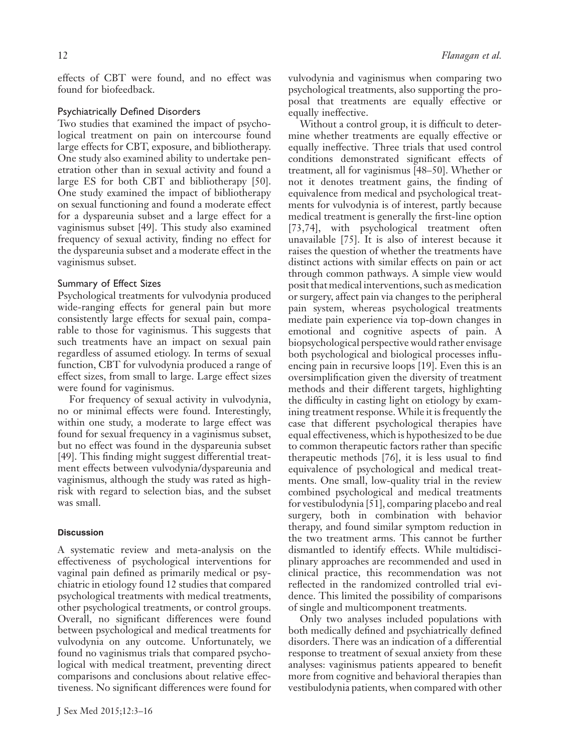effects of CBT were found, and no effect was found for biofeedback.

# Psychiatrically Defined Disorders

Two studies that examined the impact of psychological treatment on pain on intercourse found large effects for CBT, exposure, and bibliotherapy. One study also examined ability to undertake penetration other than in sexual activity and found a large ES for both CBT and bibliotherapy [50]. One study examined the impact of bibliotherapy on sexual functioning and found a moderate effect for a dyspareunia subset and a large effect for a vaginismus subset [49]. This study also examined frequency of sexual activity, finding no effect for the dyspareunia subset and a moderate effect in the vaginismus subset.

# Summary of Effect Sizes

Psychological treatments for vulvodynia produced wide-ranging effects for general pain but more consistently large effects for sexual pain, comparable to those for vaginismus. This suggests that such treatments have an impact on sexual pain regardless of assumed etiology. In terms of sexual function, CBT for vulvodynia produced a range of effect sizes, from small to large. Large effect sizes were found for vaginismus.

For frequency of sexual activity in vulvodynia, no or minimal effects were found. Interestingly, within one study, a moderate to large effect was found for sexual frequency in a vaginismus subset, but no effect was found in the dyspareunia subset [49]. This finding might suggest differential treatment effects between vulvodynia/dyspareunia and vaginismus, although the study was rated as highrisk with regard to selection bias, and the subset was small.

## **Discussion**

A systematic review and meta-analysis on the effectiveness of psychological interventions for vaginal pain defined as primarily medical or psychiatric in etiology found 12 studies that compared psychological treatments with medical treatments, other psychological treatments, or control groups. Overall, no significant differences were found between psychological and medical treatments for vulvodynia on any outcome. Unfortunately, we found no vaginismus trials that compared psychological with medical treatment, preventing direct comparisons and conclusions about relative effectiveness. No significant differences were found for vulvodynia and vaginismus when comparing two psychological treatments, also supporting the proposal that treatments are equally effective or equally ineffective.

Without a control group, it is difficult to determine whether treatments are equally effective or equally ineffective. Three trials that used control conditions demonstrated significant effects of treatment, all for vaginismus [48–50]. Whether or not it denotes treatment gains, the finding of equivalence from medical and psychological treatments for vulvodynia is of interest, partly because medical treatment is generally the first-line option [73,74], with psychological treatment often unavailable [75]. It is also of interest because it raises the question of whether the treatments have distinct actions with similar effects on pain or act through common pathways. A simple view would posit that medical interventions, such as medication or surgery, affect pain via changes to the peripheral pain system, whereas psychological treatments mediate pain experience via top-down changes in emotional and cognitive aspects of pain. A biopsychological perspective would rather envisage both psychological and biological processes influencing pain in recursive loops [19]. Even this is an oversimplification given the diversity of treatment methods and their different targets, highlighting the difficulty in casting light on etiology by examining treatment response. While it is frequently the case that different psychological therapies have equal effectiveness, which is hypothesized to be due to common therapeutic factors rather than specific therapeutic methods [76], it is less usual to find equivalence of psychological and medical treatments. One small, low-quality trial in the review combined psychological and medical treatments for vestibulodynia [51], comparing placebo and real surgery, both in combination with behavior therapy, and found similar symptom reduction in the two treatment arms. This cannot be further dismantled to identify effects. While multidisciplinary approaches are recommended and used in clinical practice, this recommendation was not reflected in the randomized controlled trial evidence. This limited the possibility of comparisons of single and multicomponent treatments.

Only two analyses included populations with both medically defined and psychiatrically defined disorders. There was an indication of a differential response to treatment of sexual anxiety from these analyses: vaginismus patients appeared to benefit more from cognitive and behavioral therapies than vestibulodynia patients, when compared with other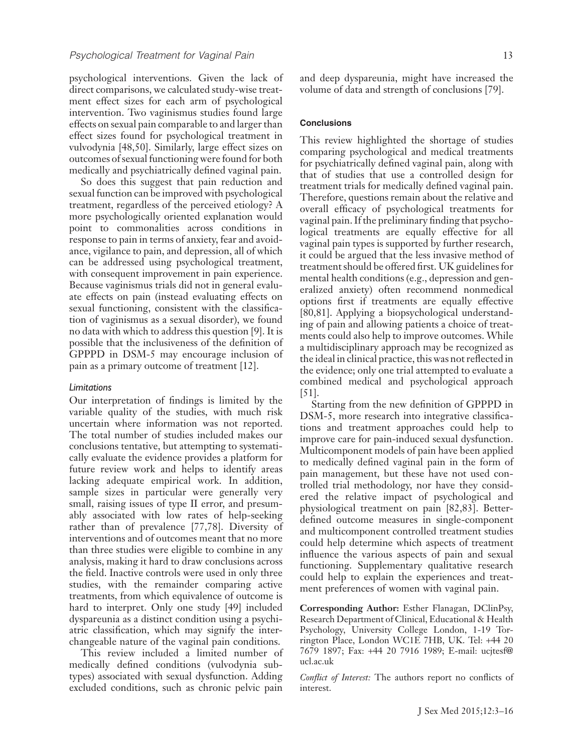psychological interventions. Given the lack of direct comparisons, we calculated study-wise treatment effect sizes for each arm of psychological intervention. Two vaginismus studies found large effects on sexual pain comparable to and larger than effect sizes found for psychological treatment in vulvodynia [48,50]. Similarly, large effect sizes on outcomes of sexual functioning were found for both medically and psychiatrically defined vaginal pain.

So does this suggest that pain reduction and sexual function can be improved with psychological treatment, regardless of the perceived etiology? A more psychologically oriented explanation would point to commonalities across conditions in response to pain in terms of anxiety, fear and avoidance, vigilance to pain, and depression, all of which can be addressed using psychological treatment, with consequent improvement in pain experience. Because vaginismus trials did not in general evaluate effects on pain (instead evaluating effects on sexual functioning, consistent with the classification of vaginismus as a sexual disorder), we found no data with which to address this question [9]. It is possible that the inclusiveness of the definition of GPPPD in DSM-5 may encourage inclusion of pain as a primary outcome of treatment [12].

## *Limitations*

Our interpretation of findings is limited by the variable quality of the studies, with much risk uncertain where information was not reported. The total number of studies included makes our conclusions tentative, but attempting to systematically evaluate the evidence provides a platform for future review work and helps to identify areas lacking adequate empirical work. In addition, sample sizes in particular were generally very small, raising issues of type II error, and presumably associated with low rates of help-seeking rather than of prevalence [77,78]. Diversity of interventions and of outcomes meant that no more than three studies were eligible to combine in any analysis, making it hard to draw conclusions across the field. Inactive controls were used in only three studies, with the remainder comparing active treatments, from which equivalence of outcome is hard to interpret. Only one study [49] included dyspareunia as a distinct condition using a psychiatric classification, which may signify the interchangeable nature of the vaginal pain conditions.

This review included a limited number of medically defined conditions (vulvodynia subtypes) associated with sexual dysfunction. Adding excluded conditions, such as chronic pelvic pain

and deep dyspareunia, might have increased the volume of data and strength of conclusions [79].

## **Conclusions**

This review highlighted the shortage of studies comparing psychological and medical treatments for psychiatrically defined vaginal pain, along with that of studies that use a controlled design for treatment trials for medically defined vaginal pain. Therefore, questions remain about the relative and overall efficacy of psychological treatments for vaginal pain. If the preliminary finding that psychological treatments are equally effective for all vaginal pain types is supported by further research, it could be argued that the less invasive method of treatment should be offered first. UK guidelines for mental health conditions (e.g., depression and generalized anxiety) often recommend nonmedical options first if treatments are equally effective [80,81]. Applying a biopsychological understanding of pain and allowing patients a choice of treatments could also help to improve outcomes. While a multidisciplinary approach may be recognized as the ideal in clinical practice, this was not reflected in the evidence; only one trial attempted to evaluate a combined medical and psychological approach [51].

Starting from the new definition of GPPPD in DSM-5, more research into integrative classifications and treatment approaches could help to improve care for pain-induced sexual dysfunction. Multicomponent models of pain have been applied to medically defined vaginal pain in the form of pain management, but these have not used controlled trial methodology, nor have they considered the relative impact of psychological and physiological treatment on pain [82,83]. Betterdefined outcome measures in single-component and multicomponent controlled treatment studies could help determine which aspects of treatment influence the various aspects of pain and sexual functioning. Supplementary qualitative research could help to explain the experiences and treatment preferences of women with vaginal pain.

**Corresponding Author:** Esther Flanagan, DClinPsy, Research Department of Clinical, Educational & Health Psychology, University College London, 1-19 Torrington Place, London WC1E 7HB, UK. Tel: +44 20 7679 1897; Fax: +44 20 7916 1989; E-mail: [ucjtesf@](mailto:ucjtesf@ucl.ac.uk) [ucl.ac.uk](mailto:ucjtesf@ucl.ac.uk)

*Conflict of Interest:* The authors report no conflicts of interest.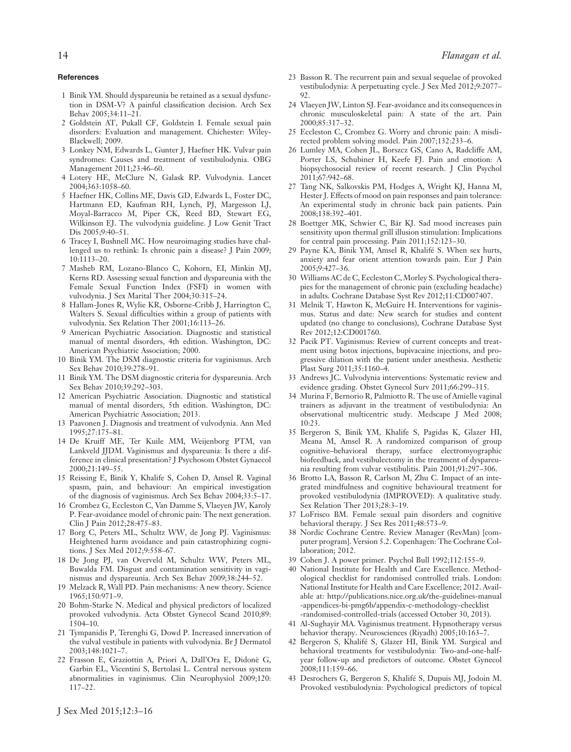#### **References**

- 1 Binik YM. Should dyspareunia be retained as a sexual dysfunction in DSM-V? A painful classification decision. Arch Sex Behav 2005;34:11–21.
- 2 Goldstein AT, Pukall CF, Goldstein I. Female sexual pain disorders: Evaluation and management. Chichester: Wiley-Blackwell; 2009.
- 3 Lonkey NM, Edwards L, Gunter J, Haefner HK. Vulvar pain syndromes: Causes and treatment of vestibulodynia. OBG Management 2011;23:46–60.
- 4 Lotery HE, McClure N, Galask RP. Vulvodynia. Lancet 2004;363:1058–60.
- 5 Haefner HK, Collins ME, Davis GD, Edwards L, Foster DC, Hartmann ED, Kaufman RH, Lynch, PJ, Margesson LJ, Moyal-Barracco M, Piper CK, Reed BD, Stewart EG, Wilkinson EJ. The vulvodynia guideline. J Low Genit Tract Dis 2005;9:40–51.
- 6 Tracey I, Bushnell MC. How neuroimaging studies have challenged us to rethink: Is chronic pain a disease? J Pain 2009; 10:1113–20.
- 7 Masheb RM, Lozano-Blanco C, Kohorn, EI, Minkin MJ, Kerns RD. Assessing sexual function and dyspareunia with the Female Sexual Function Index (FSFI) in women with vulvodynia. J Sex Marital Ther 2004;30:315–24.
- 8 Hallam-Jones R, Wylie KR, Osborne-Cribb J, Harrington C, Walters S. Sexual difficulties within a group of patients with vulvodynia. Sex Relation Ther 2001;16:113–26.
- 9 American Psychiatric Association. Diagnostic and statistical manual of mental disorders, 4th edition. Washington, DC: American Psychiatric Association; 2000.
- 10 Binik YM. The DSM diagnostic criteria for vaginismus. Arch Sex Behav 2010;39:278–91.
- 11 Binik YM. The DSM diagnostic criteria for dyspareunia. Arch Sex Behav 2010;39:292–303.
- 12 American Psychiatric Association. Diagnostic and statistical manual of mental disorders, 5th edition. Washington, DC: American Psychiatric Association; 2013.
- 13 Paavonen J. Diagnosis and treatment of vulvodynia. Ann Med 1995;27:175–81.
- 14 De Kruiff ME, Ter Kuile MM, Weijenborg PTM, van Lankveld JJDM. Vaginismus and dyspareunia: Is there a difference in clinical presentation? J Psychosom Obstet Gynaecol 2000;21:149–55.
- 15 Reissing E, Binik Y, Khalife S, Cohen D, Amsel R. Vaginal spasm, pain, and behaviour: An empirical investigation of the diagnosis of vaginismus. Arch Sex Behav 2004;33:5–17.
- 16 Crombez G, Eccleston C, Van Damme S, Vlaeyen JW, Karoly P. Fear-avoidance model of chronic pain: The next generation. Clin J Pain 2012;28:475–83.
- 17 Borg C, Peters ML, Schultz WW, de Jong PJ. Vaginismus: Heightened harm avoidance and pain catastrophizing cognitions. J Sex Med 2012;9:558–67.
- 18 De Jong PJ, van Overveld M, Schultz WW, Peters ML, Buwalda FM. Disgust and contamination sensitivity in vaginismus and dyspareunia. Arch Sex Behav 2009;38:244–52.
- 19 Melzack R, Wall PD. Pain mechanisms: A new theory. Science 1965;150:971–9.
- 20 Bohm-Starke N. Medical and physical predictors of localized provoked vulvodynia. Acta Obstet Gynecol Scand 2010;89: 1504–10.
- 21 Tympanidis P, Terenghi G, Dowd P. Increased innervation of the vulval vestibule in patients with vulvodynia. Br J Dermatol 2003;148:1021–7.
- 22 Frasson E, Graziottin A, Priori A, Dall'Ora E, Didonè G, Garbin EL, Vicentini S, Bertolasi L. Central nervous system abnormalities in vaginismus. Clin Neurophysiol 2009;120: 117–22.
- 23 Basson R. The recurrent pain and sexual sequelae of provoked vestibulodynia: A perpetuating cycle. J Sex Med 2012;9:2077– 92.
- 24 Vlaeyen JW, Linton SJ. Fear-avoidance and its consequences in chronic musculoskeletal pain: A state of the art. Pain 2000;85:317–32.
- 25 Eccleston C, Crombez G. Worry and chronic pain: A misdirected problem solving model. Pain 2007;132:233–6.
- 26 Lumley MA, Cohen JL, Borszcz GS, Cano A, Radcliffe AM, Porter LS, Schubiner H, Keefe FJ. Pain and emotion: A biopsychosocial review of recent research. J Clin Psychol 2011;67:942–68.
- 27 Tang NK, Salkovskis PM, Hodges A, Wright KJ, Hanna M, Hester J. Effects of mood on pain responses and pain tolerance: An experimental study in chronic back pain patients. Pain 2008;138:392–401.
- 28 Boettger MK, Schwier C, Bär KJ. Sad mood increases pain sensitivity upon thermal grill illusion stimulation: Implications for central pain processing. Pain 2011;152:123–30.
- 29 Payne KA, Binik YM, Amsel R, Khalifé S. When sex hurts, anxiety and fear orient attention towards pain. Eur J Pain 2005;9:427–36.
- 30 Williams AC de C, Eccleston C, Morley S. Psychological therapies for the management of chronic pain (excluding headache) in adults. Cochrane Database Syst Rev 2012;11:CD007407.
- 31 Melnik T, Hawton K, McGuire H. Interventions for vaginismus. Status and date: New search for studies and content updated (no change to conclusions), Cochrane Database Syst Rev 2012;12:CD001760.
- 32 Pacik PT. Vaginismus: Review of current concepts and treatment using botox injections, bupivacaine injections, and progressive dilation with the patient under anesthesia. Aesthetic Plast Surg 2011;35:1160–4.
- 33 Andrews JC. Vulvodynia interventions: Systematic review and evidence grading. Obstet Gynecol Surv 2011;66:299–315.
- 34 Murina F, Bernorio R, Palmiotto R. The use of Amielle vaginal trainers as adjuvant in the treatment of vestibulodynia: An observational multicentric study. Medscape J Med 2008; 10:23.
- 35 Bergeron S, Binik YM, Khalife S, Pagidas K, Glazer HI, Meana M, Amsel R. A randomized comparison of group cognitive–behavioral therapy, surface electromyographic biofeedback, and vestibulectomy in the treatment of dyspareunia resulting from vulvar vestibulitis. Pain 2001;91:297–306.
- 36 Brotto LA, Basson R, Carlson M, Zhu C. Impact of an integrated mindfulness and cognitive behavioural treatment for provoked vestibulodynia (IMPROVED): A qualitative study. Sex Relation Ther 2013;28:3–19.
- 37 LoFrisco BM. Female sexual pain disorders and cognitive behavioral therapy. J Sex Res 2011;48:573–9.
- 38 Nordic Cochrane Centre. Review Manager (RevMan) [computer program]. Version 5.2. Copenhagen: The Cochrane Collaboration; 2012.
- 39 Cohen J. A power primer. Psychol Bull 1992;112:155–9.
- 40 National Institute for Health and Care Excellence. Methodological checklist for randomised controlled trials. London: National Institute for Health and Care Excellence; 2012. Available at: [http://publications.nice.org.uk/the-guidelines-manual](http://publications.nice.org.uk/the-guidelines-manual-appendices-bi-pmg6b/appendix-c-methodology-checklist-randomised-controlled-trials) [-appendices-bi-pmg6b/appendix-c-methodology-checklist](http://publications.nice.org.uk/the-guidelines-manual-appendices-bi-pmg6b/appendix-c-methodology-checklist-randomised-controlled-trials) [-randomised-controlled-trials](http://publications.nice.org.uk/the-guidelines-manual-appendices-bi-pmg6b/appendix-c-methodology-checklist-randomised-controlled-trials) (accessed October 30, 2013).
- 41 Al-Sughayir MA. Vaginismus treatment. Hypnotherapy versus behavior therapy. Neurosciences (Riyadh) 2005;10:163–7.
- 42 Bergeron S, Khalifé S, Glazer HI, Binik YM. Surgical and behavioral treatments for vestibulodynia: Two-and-one-halfyear follow-up and predictors of outcome. Obstet Gynecol 2008;111:159–66.
- 43 Desrochers G, Bergeron S, Khalifé S, Dupuis MJ, Jodoin M. Provoked vestibulodynia: Psychological predictors of topical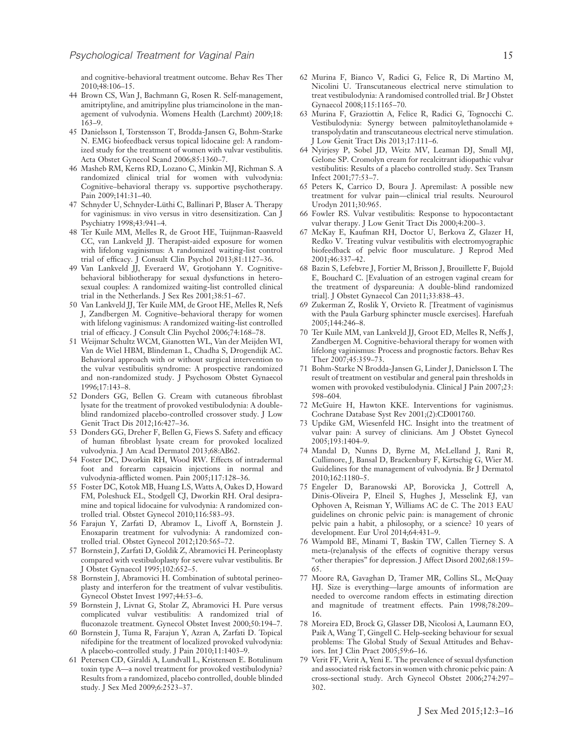and cognitive-behavioral treatment outcome. Behav Res Ther 2010;48:106–15.

- 44 Brown CS, Wan J, Bachmann G, Rosen R. Self-management, amitriptyline, and amitripyline plus triamcinolone in the management of vulvodynia. Womens Health (Larchmt) 2009;18: 163–9.
- 45 Danielsson I, Torstensson T, Brodda-Jansen G, Bohm-Starke N. EMG biofeedback versus topical lidocaine gel: A randomized study for the treatment of women with vulvar vestibulitis. Acta Obstet Gynecol Scand 2006;85:1360–7.
- 46 Masheb RM, Kerns RD, Lozano C, Minkin MJ, Richman S. A randomized clinical trial for women with vulvodynia: Cognitive–behavioral therapy vs. supportive psychotherapy. Pain 2009;141:31–40.
- 47 Schnyder U, Schnyder-Lüthi C, Ballinari P, Blaser A. Therapy for vaginismus: in vivo versus in vitro desensitization. Can J Psychiatry 1998;43:941–4.
- 48 Ter Kuile MM, Melles R, de Groot HE, Tuijnman-Raasveld CC, van Lankveld JJ. Therapist-aided exposure for women with lifelong vaginismus: A randomized waiting-list control trial of efficacy. J Consult Clin Psychol 2013;81:1127–36.
- 49 Van Lankveld JJ, Everaerd W, Grotjohann Y. Cognitivebehavioral bibliotherapy for sexual dysfunctions in heterosexual couples: A randomized waiting-list controlled clinical trial in the Netherlands. J Sex Res 2001;38:51–67.
- 50 Van Lankveld JJ, Ter Kuile MM, de Groot HE, Melles R, Nefs J, Zandbergen M. Cognitive–behavioral therapy for women with lifelong vaginismus: A randomized waiting-list controlled trial of efficacy. J Consult Clin Psychol 2006;74:168–78.
- 51 Weijmar Schultz WCM, Gianotten WL, Van der Meijden WI, Van de Wiel HBM, Blindeman L, Chadha S, Drogendijk AC. Behavioral approach with or without surgical intervention to the vulvar vestibulitis syndrome: A prospective randomized and non-randomized study. J Psychosom Obstet Gynaecol 1996;17:143–8.
- 52 Donders GG, Bellen G. Cream with cutaneous fibroblast lysate for the treatment of provoked vestibulodynia: A doubleblind randomized placebo-controlled crossover study. J Low Genit Tract Dis 2012;16:427–36.
- 53 Donders GG, Dreher F, Bellen G, Fiews S. Safety and efficacy of human fibroblast lysate cream for provoked localized vulvodynia. J Am Acad Dermatol 2013;68:AB62.
- 54 Foster DC, Dworkin RH, Wood RW. Effects of intradermal foot and forearm capsaicin injections in normal and vulvodynia-afflicted women. Pain 2005;117:128–36.
- 55 Foster DC, Kotok MB, Huang LS, Watts A, Oakes D, Howard FM, Poleshuck EL, Stodgell CJ, Dworkin RH. Oral desipramine and topical lidocaine for vulvodynia: A randomized controlled trial. Obstet Gynecol 2010;116:583–93.
- 56 Farajun Y, Zarfati D, Abramov L, Livoff A, Bornstein J. Enoxaparin treatment for vulvodynia: A randomized controlled trial. Obstet Gynecol 2012;120:565–72.
- 57 Bornstein J, Zarfati D, Goldik Z, Abramovici H. Perineoplasty compared with vestibuloplasty for severe vulvar vestibulitis. Br J Obstet Gynaecol 1995;102:652–5.
- 58 Bornstein J, Abramovici H. Combination of subtotal perineoplasty and interferon for the treatment of vulvar vestibulitis. Gynecol Obstet Invest 1997;44:53–6.
- 59 Bornstein J, Livnat G, Stolar Z, Abramovici H. Pure versus complicated vulvar vestibulitis: A randomized trial of fluconazole treatment. Gynecol Obstet Invest 2000;50:194–7.
- 60 Bornstein J, Tuma R, Farajun Y, Azran A, Zarfati D. Topical nifedipine for the treatment of localized provoked vulvodynia: A placebo-controlled study. J Pain 2010;11:1403–9.
- 61 Petersen CD, Giraldi A, Lundvall L, Kristensen E. Botulinum toxin type A—a novel treatment for provoked vestibulodynia? Results from a randomized, placebo controlled, double blinded study. J Sex Med 2009;6:2523–37.
- 62 Murina F, Bianco V, Radici G, Felice R, Di Martino M, Nicolini U. Transcutaneous electrical nerve stimulation to
- treat vestibulodynia: A randomised controlled trial. Br J Obstet Gynaecol 2008;115:1165–70. 63 Murina F, Graziottin A, Felice R, Radici G, Tognocchi C. Vestibulodynia: Synergy between palmitoylethanolamide + transpolydatin and transcutaneous electrical nerve stimulation.
- J Low Genit Tract Dis 2013;17:111–6. 64 Nyirjesy P, Sobel JD, Weitz MV, Leaman DJ, Small MJ, Gelone SP. Cromolyn cream for recalcitrant idiopathic vulvar vestibulitis: Results of a placebo controlled study. Sex Transm Infect 2001;77:53–7.
- 65 Peters K, Carrico D, Boura J. Apremilast: A possible new treatment for vulvar pain—clinical trial results. Neurourol Urodyn 2011;30:965.
- 66 Fowler RS. Vulvar vestibulitis: Response to hypocontactant vulvar therapy. J Low Genit Tract Dis 2000;4:200–3.
- 67 McKay E, Kaufman RH, Doctor U, Berkova Z, Glazer H, Redko V. Treating vulvar vestibulitis with electromyographic biofeedback of pelvic floor musculature. J Reprod Med 2001;46:337–42.
- 68 Bazin S, Lefebvre J, Fortier M, Brisson J, Brouillette F, Bujold E, Bouchard C. [Evaluation of an estrogen vaginal cream for the treatment of dyspareunia: A double-blind randomized trial]. J Obstet Gynaecol Can 2011;33:838–43.
- 69 Zukerman Z, Roslik Y, Orvieto R. [Treatment of vaginismus with the Paula Garburg sphincter muscle exercises]. Harefuah 2005;144:246–8.
- 70 Ter Kuile MM, van Lankveld JJ, Groot ED, Melles R, Neffs J, Zandbergen M. Cognitive-behavioral therapy for women with lifelong vaginismus: Process and prognostic factors. Behav Res Ther 2007;45:359–73.
- 71 Bohm-Starke N Brodda-Jansen G, Linder J, Danielsson I. The result of treatment on vestibular and general pain thresholds in women with provoked vestibulodynia. Clinical J Pain 2007;23: 598–604.
- 72 McGuire H, Hawton KKE. Interventions for vaginismus. Cochrane Database Syst Rev 2001;(2):CD001760.
- 73 Updike GM, Wiesenfeld HC. Insight into the treatment of vulvar pain: A survey of clinicians. Am J Obstet Gynecol 2005;193:1404–9.
- 74 Mandal D, Nunns D, Byrne M, McLelland J, Rani R, Cullimore, J, Bansal D, Brackenbury F, Kirtschig G, Wier M. Guidelines for the management of vulvodynia. Br J Dermatol 2010;162:1180–5.
- 75 Engeler D, Baranowski AP, Borovicka J, Cottrell A, Dinis-Oliveira P, Elneil S, Hughes J, Messelink EJ, van Ophoven A, Reisman Y, Williams AC de C. The 2013 EAU guidelines on chronic pelvic pain: is management of chronic pelvic pain a habit, a philosophy, or a science? 10 years of development. Eur Urol 2014;64:431–9.
- 76 Wampold BE, Minami T, Baskin TW, Callen Tierney S. A meta-(re)analysis of the effects of cognitive therapy versus "other therapies" for depression. J Affect Disord 2002;68:159– 65.
- 77 Moore RA, Gavaghan D, Tramer MR, Collins SL, McQuay HJ. Size is everything—large amounts of information are needed to overcome random effects in estimating direction and magnitude of treatment effects. Pain 1998;78:209– 16.
- 78 Moreira ED, Brock G, Glasser DB, Nicolosi A, Laumann EO, Paik A, Wang T, Gingell C. Help-seeking behaviour for sexual problems: The Global Study of Sexual Attitudes and Behaviors. Int J Clin Pract 2005;59:6–16.
- 79 Verit FF, Verit A, Yeni E. The prevalence of sexual dysfunction and associated risk factors in women with chronic pelvic pain: A cross-sectional study. Arch Gynecol Obstet 2006;274:297– 302.